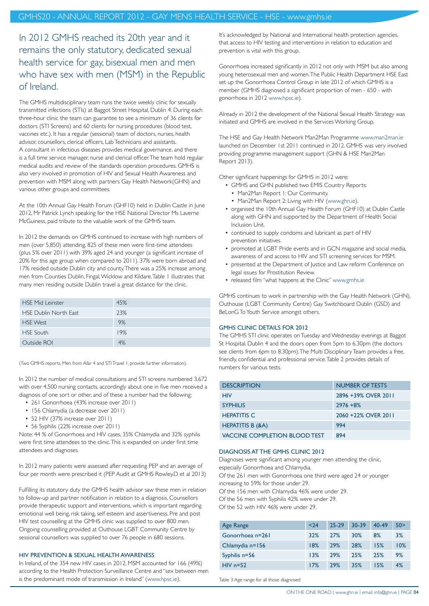In 2012 GMHS reached its 20th year and it remains the only statutory, dedicated sexual health service for gay, bisexual men and men who have sex with men (MSM) in the Republic of Ireland.

The GMHS multidisciplinary team runs the twice weekly clinic for sexually transmitted infections (STIs) at Baggot Street Hospital, Dublin 4. During each three-hour clinic the team can guarantee to see a minimum of 36 clients for doctors (STI Screens) and 60 clients for nursing procedures (blood test, vaccines etc.). It has a regular (sessional) team of doctors, nurses, health advisor, counsellors, clerical officers, Lab Technicians and assistants. A consultant in infectious diseases provides medical governance, and there is a full time service manager, nurse and clerical officer. The team hold regular medical audits and review of the standards operation procedures. GMHS is also very involved in promotion of HIV and Sexual Health Awareness and prevention with MSM along with partners Gay Health Network(GHN) and various other groups and committees.

At the 10th Annual Gay Health Forum (GHF10) held in Dublin Castle in June 2012, Mr Patrick Lynch speaking for the HSE National Director Ms Laverne McGuiness, paid tribute to the valuable work of the GMHS team.

In 2012 the demands on GMHS continued to increase with high numbers of men (over 5,850) attending. 825 of these men were first-time attendees (plus 5% over 2011) with 39% aged 24 and younger (a significant increase of 20% for this age group when compared to 2011). 37% were born abroad and 17% resided outside Dublin city and county. There was a 25% increase among men from Counties Dublin, Fingal, Wicklow and Kildare. Table 1 illustrates that many men residing outside Dublin travel a great distance for the clinic.

| <b>HSE Mid Leinster</b>      | 45% |
|------------------------------|-----|
| <b>HSE Dublin North East</b> | 23% |
| <b>HSE</b> West              | 9%  |
| <b>HSE South</b>             | 19% |
| Outside ROI                  | 4%  |

(Two GMHS reports, Men from Afar 4 and STI Travel 1, provide further information).

In 2012 the number of medical consultations and STI screens numbered 3,672 with over 4,500 nursing contacts, accordingly about one in five men received a diagnosis of one sort or other, and of these a number had the following;

- 261 Gonorrhoea (43% increase over 2011)
- 156 Chlamydia (a decrease over 2011)
- 52 HIV (37% increase over 2011)
- 56 Syphilis (22% increase over 2011)

Note: 44 % of Gonorrhoea and HIV cases, 35% Chlamydia and 32% syphilis were first time attendees to the clinic. This is expanded on under first time attendees and diagnoses.

In 2012 many patients were assessed after requesting PEP and an average of four per month were prescribed it (PEP Audit at GMHS Rowley.D et al 2013)

Fulfilling its statutory duty the GMHS health advisor saw these men in relation to follow-up and partner notification in relation to a diagnosis. Counsellors provide therapeutic support and interventions, which is important regarding emotional well being, risk taking, self esteem and assertiveness. Pre and post HIV test counselling at the GMHS clinic was supplied to over 800 men. Ongoing counselling provided at Outhouse LGBT Community Centre by sessional counsellors was supplied to over 76 people in 680 sessions.

#### HIV PREVENTION & SEXUAL HEALTH AWARENESS

In Ireland, of the 354 new HIV cases in 2012, MSM accounted for 166 (49%) according to the Health Protection Surveillance Centre and "sex between men is the predominant mode of transmission in Ireland" [\(www.hpsc.ie](http://www.hpsc.ie)).

It's acknowledged by National and International health protection agencies, that access to HIV testing and interventions in relation to education and prevention is vital with this group.

Gonorrhoea increased significantly in 2012 not only with MSM but also among young heterosexual men and women. The Public Health Department HSE East set up the Gonorrhoea Control Group in late 2012 of which GMHS is a member (GMHS diagnosed a significant proportion of men - 650 - with gonorrhoea in 2012 [www.hpsc.ie](http://www.hpsc.ie)).

Already in 2012 the development of the National Sexual Health Strategy was initiated and GMHS are involved in the Services Working Group.

The HSE and Gay Health Network Man2Man Programme [www.man2man.ie](http://www.man2man.ie) launched on December 1st 2011 continued in 2012. GMHS was very involved providing programme management support (GHN & HSE Man2Man Report 2013).

Other significant happenings for GMHS in 2012 were:

- GMHS and GHN published two EMIS Country Reports:
	- Man2Man Report 1: Our Community.
	- Man2Man Report 2: Living with HIV ([www.ghn.i](http://www.ghn.ie)e).
- organised the 10th Annual Gay Health Forum (GHF10) at Dublin Castle along with GHN and supported by the Department of Health Social Inclusion Unit.
- continued to supply condoms and lubricant as part of HIV prevention initiatives.
- promoted at LGBT Pride events and in GCN magazine and social media, awareness of and access to HIV and STI screening services for MSM.
- presented at the Department of Justice and Law reform Conference on legal issues for Prostitution Review.
- released film "what happens at the Clinic" [www.gmhs.ie](http://www.gmhs.ie)

GMHS continues to work in partnership with the Gay Health Network (GHN), Outhouse (LGBT Community Centre) Gay Switchboard Dublin (GSD) and BeLonG To Youth Service amongst others.

# GMHS CLINIC DETAILS FOR 2012

The GMHS STI clinic operates on Tuesday and Wednesday evenings at Baggot St Hospital, Dublin 4 and the doors open from 5pm to 6.30pm (the doctors see clients from 6pm to 8.30pm). The Multi Disciplinary Team provides a free, friendly, confidential and professional service. Table 2 provides details of numbers for various tests.

| <b>DESCRIPTION</b>                   | <b>NUMBER OF TESTS</b> |
|--------------------------------------|------------------------|
| HIV                                  | 2896 +39% OVER 2011    |
| <b>SYPHILIS</b>                      | $2976 + 8%$            |
| <b>HEPATITIS C</b>                   | 2060 +22% OVER 2011    |
| <b>HEPATITIS B (&amp;A)</b>          | 994                    |
| <b>VACCINE COMPLETION BLOOD TEST</b> | 894                    |

## DIAGNOSIS AT THE GMHS CLINIC 2012

Diagnoses were significant among younger men attending the clinic,

especially Gonorrhoea and Chlamydia.

Of the 261 men with Gonorrhoea one third were aged 24 or younger increasing to 59% for those under 29.

Of the 156 men with Chlamydia 46% were under 29.

Of the 56 men with Syphilis 42% were under 29.

Of the 52 with HIV 46% were under 29.

| Age Range        | < 24 | 25-29 | $30 - 39$ | 40-49 | 50 > |
|------------------|------|-------|-----------|-------|------|
| Gonorrhoea n=261 | 32%  | 27%   | 30%       | 8%    | 3%   |
| Chlamydia n=156  | 18%  | 29%   | 28%       | 15%   | 10%  |
| Syphilis n=56    | 13%  | 29%   | 25%       | 25%   | 9%   |
| $HIV n=52$       | 17%  | 29%   | 35%       | 15%   | 4%   |

Table 3 Age range for all those diagnosed